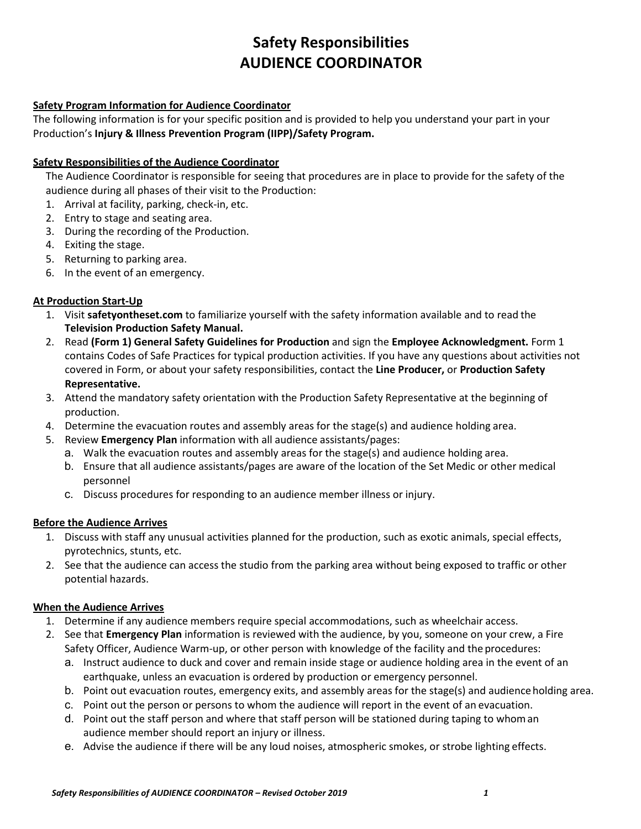# **Safety Responsibilities AUDIENCE COORDINATOR**

## **Safety Program Information for Audience Coordinator**

The following information is for your specific position and is provided to help you understand your part in your Production's **Injury & Illness Prevention Program (IIPP)/Safety Program.**

#### **Safety Responsibilities of the Audience Coordinator**

The Audience Coordinator is responsible for seeing that procedures are in place to provide for the safety of the audience during all phases of their visit to the Production:

- 1. Arrival at facility, parking, check-in, etc.
- 2. Entry to stage and seating area.
- 3. During the recording of the Production.
- 4. Exiting the stage.
- 5. Returning to parking area.
- 6. In the event of an emergency.

### **At Production Start-Up**

- 1. Visit **safetyontheset.com** to familiarize yourself with the safety information available and to read the **Television Production Safety Manual.**
- 2. Read **(Form 1) General Safety Guidelines for Production** and sign the **Employee Acknowledgment.** Form 1 contains Codes of Safe Practices for typical production activities. If you have any questions about activities not covered in Form, or about your safety responsibilities, contact the **Line Producer,** or **Production Safety Representative.**
- 3. Attend the mandatory safety orientation with the Production Safety Representative at the beginning of production.
- 4. Determine the evacuation routes and assembly areas for the stage(s) and audience holding area.
- 5. Review **Emergency Plan** information with all audience assistants/pages:
	- a. Walk the evacuation routes and assembly areas for the stage(s) and audience holding area.
	- b. Ensure that all audience assistants/pages are aware of the location of the Set Medic or other medical personnel
	- c. Discuss procedures for responding to an audience member illness or injury.

#### **Before the Audience Arrives**

- 1. Discuss with staff any unusual activities planned for the production, such as exotic animals, special effects, pyrotechnics, stunts, etc.
- 2. See that the audience can access the studio from the parking area without being exposed to traffic or other potential hazards.

#### **When the Audience Arrives**

- 1. Determine if any audience members require special accommodations, such as wheelchair access.
- 2. See that **Emergency Plan** information is reviewed with the audience, by you, someone on your crew, a Fire Safety Officer, Audience Warm-up, or other person with knowledge of the facility and the procedures:
	- a. Instruct audience to duck and cover and remain inside stage or audience holding area in the event of an earthquake, unless an evacuation is ordered by production or emergency personnel.
	- b. Point out evacuation routes, emergency exits, and assembly areas for the stage(s) and audience holding area.
	- c. Point out the person or persons to whom the audience will report in the event of an evacuation.
	- d. Point out the staff person and where that staff person will be stationed during taping to whoman audience member should report an injury or illness.
	- e. Advise the audience if there will be any loud noises, atmospheric smokes, or strobe lighting effects.